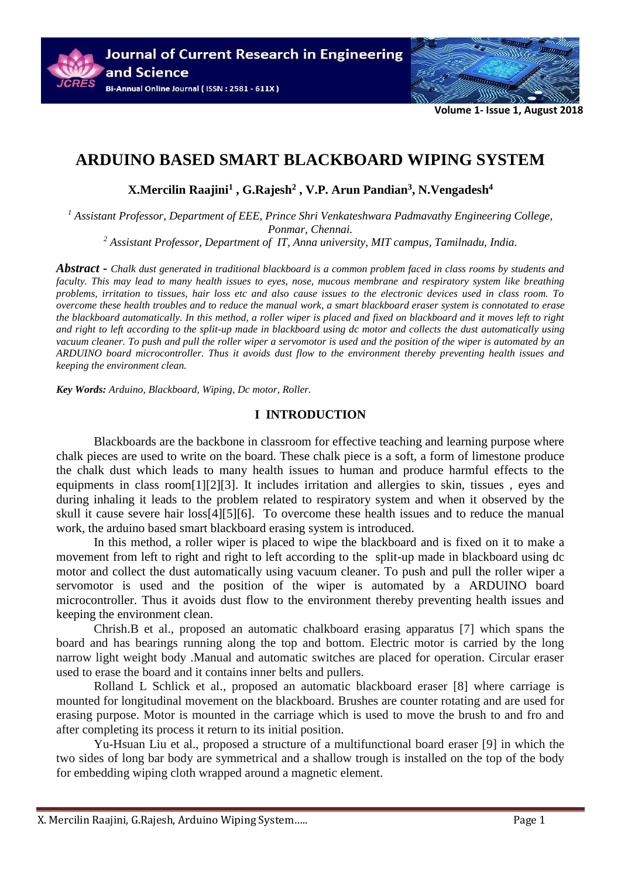

**Volume 1- Issue 1, August 2018**

# **ARDUINO BASED SMART BLACKBOARD WIPING SYSTEM**

**X.Mercilin Raajini<sup>1</sup> , G.Rajesh<sup>2</sup> , V.P. Arun Pandian<sup>3</sup> , N.Vengadesh<sup>4</sup>**

*<sup>1</sup> Assistant Professor, Department of EEE, Prince Shri Venkateshwara Padmavathy Engineering College, Ponmar, Chennai.*

*<sup>2</sup> Assistant Professor, Department of IT, Anna university, MIT campus, Tamilnadu, India.*

*Abstract* **-** *Chalk dust generated in traditional blackboard is a common problem faced in class rooms by students and faculty. This may lead to many health issues to eyes, nose, mucous membrane and respiratory system like breathing problems, irritation to tissues, hair loss etc and also cause issues to the electronic devices used in class room. To overcome these health troubles and to reduce the manual work, a smart blackboard eraser system is connotated to erase the blackboard automatically. In this method, a roller wiper is placed and fixed on blackboard and it moves left to right and right to left according to the split-up made in blackboard using dc motor and collects the dust automatically using vacuum cleaner. To push and pull the roller wiper a servomotor is used and the position of the wiper is automated by an ARDUINO board microcontroller. Thus it avoids dust flow to the environment thereby preventing health issues and keeping the environment clean.*

*Key Words: Arduino, Blackboard, Wiping, Dc motor, Roller.*

#### **I INTRODUCTION**

Blackboards are the backbone in classroom for effective teaching and learning purpose where chalk pieces are used to write on the board. These chalk piece is a soft, a form of limestone produce the chalk dust which leads to many health issues to human and produce harmful effects to the equipments in class room[1][2][3]. It includes irritation and allergies to skin, tissues , eyes and during inhaling it leads to the problem related to respiratory system and when it observed by the skull it cause severe hair loss[4][5][6]. To overcome these health issues and to reduce the manual work, the arduino based smart blackboard erasing system is introduced.

In this method, a roller wiper is placed to wipe the blackboard and is fixed on it to make a movement from left to right and right to left according to the split-up made in blackboard using dc motor and collect the dust automatically using vacuum cleaner. To push and pull the roller wiper a servomotor is used and the position of the wiper is automated by a ARDUINO board microcontroller. Thus it avoids dust flow to the environment thereby preventing health issues and keeping the environment clean.

Chrish.B et al., proposed an automatic chalkboard erasing apparatus [7] which spans the board and has bearings running along the top and bottom. Electric motor is carried by the long narrow light weight body .Manual and automatic switches are placed for operation. Circular eraser used to erase the board and it contains inner belts and pullers.

Rolland L Schlick et al., proposed an automatic blackboard eraser [8] where carriage is mounted for longitudinal movement on the blackboard. Brushes are counter rotating and are used for erasing purpose. Motor is mounted in the carriage which is used to move the brush to and fro and after completing its process it return to its initial position.

Yu-Hsuan Liu et al., proposed a structure of a multifunctional board eraser [9] in which the two sides of long bar body are symmetrical and a shallow trough is installed on the top of the body for embedding wiping cloth wrapped around a magnetic element.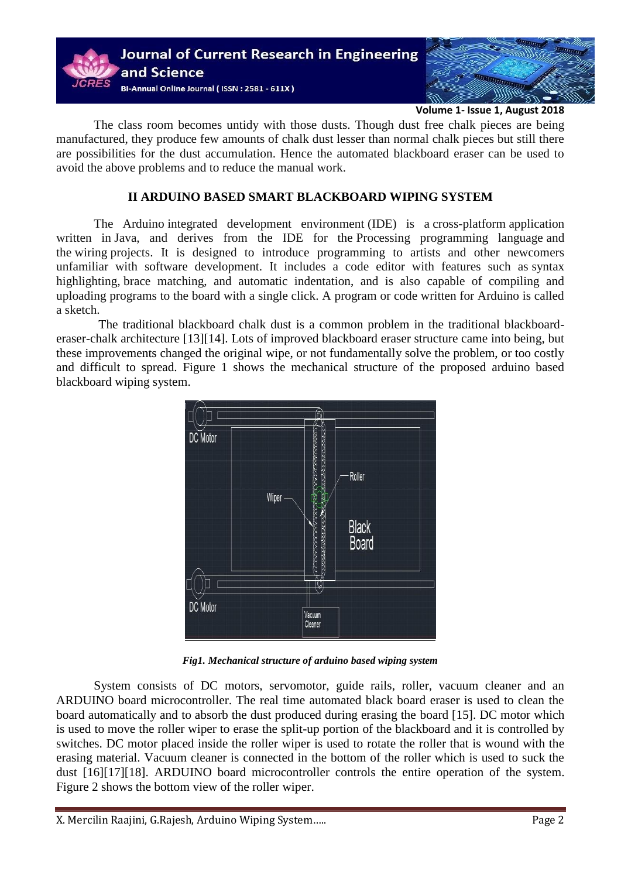

**Volume 1- Issue 1, August 2018**

The class room becomes untidy with those dusts. Though dust free chalk pieces are being manufactured, they produce few amounts of chalk dust lesser than normal chalk pieces but still there are possibilities for the dust accumulation. Hence the automated blackboard eraser can be used to avoid the above problems and to reduce the manual work.

### **II ARDUINO BASED SMART BLACKBOARD WIPING SYSTEM**

The Arduino integrated development environment (IDE) is a cross-platform application written in Java, and derives from the IDE for the Processing programming language and the wiring projects. It is designed to introduce programming to artists and other newcomers unfamiliar with software development. It includes a code editor with features such as syntax highlighting, brace matching, and automatic indentation, and is also capable of compiling and uploading programs to the board with a single click. A program or code written for Arduino is called a sketch.

The traditional blackboard chalk dust is a common problem in the traditional blackboarderaser-chalk architecture [13][14]. Lots of improved blackboard eraser structure came into being, but these improvements changed the original wipe, or not fundamentally solve the problem, or too costly and difficult to spread. Figure 1 shows the mechanical structure of the proposed arduino based blackboard wiping system.



*Fig1. Mechanical structure of arduino based wiping system*

System consists of DC motors, servomotor, guide rails, roller, vacuum cleaner and an ARDUINO board microcontroller. The real time automated black board eraser is used to clean the board automatically and to absorb the dust produced during erasing the board [15]. DC motor which is used to move the roller wiper to erase the split-up portion of the blackboard and it is controlled by switches. DC motor placed inside the roller wiper is used to rotate the roller that is wound with the erasing material. Vacuum cleaner is connected in the bottom of the roller which is used to suck the dust [16][17][18]. ARDUINO board microcontroller controls the entire operation of the system. Figure 2 shows the bottom view of the roller wiper.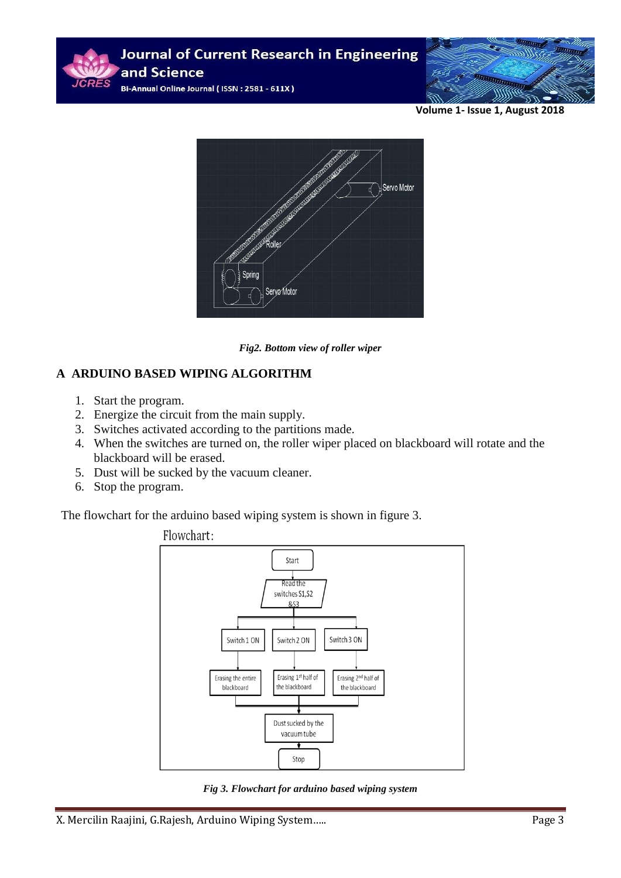

**Volume 1- Issue 1, August 2018**



*Fig2. Bottom view of roller wiper*

## **A ARDUINO BASED WIPING ALGORITHM**

- 1. Start the program.
- 2. Energize the circuit from the main supply.
- 3. Switches activated according to the partitions made.
- 4. When the switches are turned on, the roller wiper placed on blackboard will rotate and the blackboard will be erased.
- 5. Dust will be sucked by the vacuum cleaner.
- 6. Stop the program.

The flowchart for the arduino based wiping system is shown in figure 3.



*Fig 3. Flowchart for arduino based wiping system*

X. Mercilin Raajini, G.Rajesh, Arduino Wiping System….. Page 3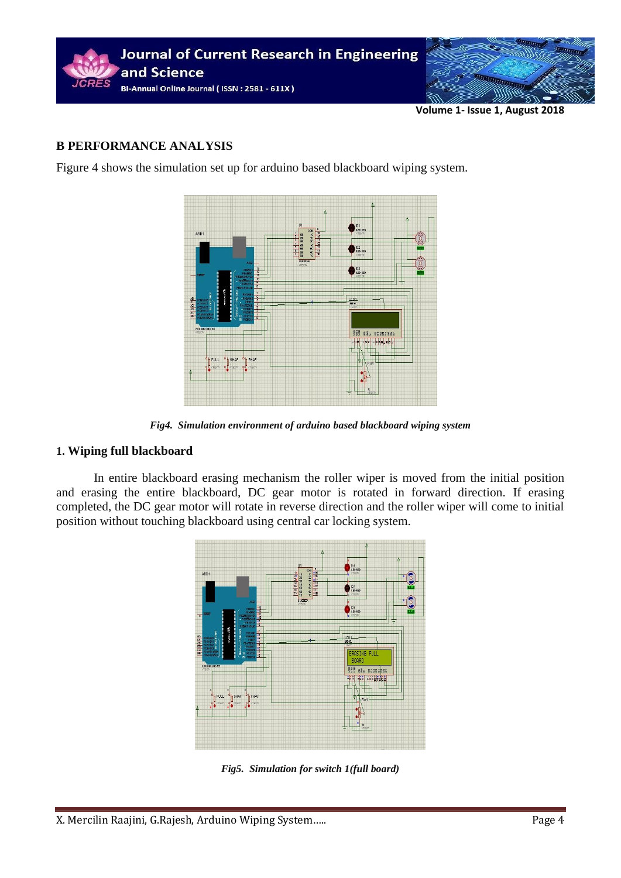

**Volume 1- Issue 1, August 2018**

### **B PERFORMANCE ANALYSIS**

Figure 4 shows the simulation set up for arduino based blackboard wiping system.



*Fig4. Simulation environment of arduino based blackboard wiping system*

#### **1. Wiping full blackboard**

In entire blackboard erasing mechanism the roller wiper is moved from the initial position and erasing the entire blackboard, DC gear motor is rotated in forward direction. If erasing completed, the DC gear motor will rotate in reverse direction and the roller wiper will come to initial position without touching blackboard using central car locking system.



*Fig5. Simulation for switch 1(full board)*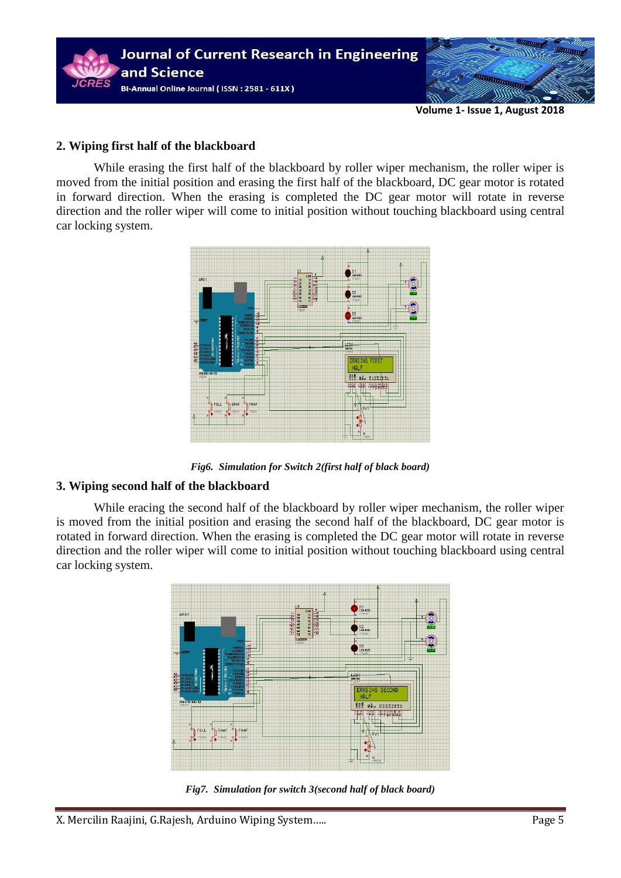

**Volume 1- Issue 1, August 2018**

#### **2. Wiping first half of the blackboard**

While erasing the first half of the blackboard by roller wiper mechanism, the roller wiper is moved from the initial position and erasing the first half of the blackboard, DC gear motor is rotated in forward direction. When the erasing is completed the DC gear motor will rotate in reverse direction and the roller wiper will come to initial position without touching blackboard using central car locking system.



*Fig6. Simulation for Switch 2(first half of black board)*

## **3. Wiping second half of the blackboard**

While eracing the second half of the blackboard by roller wiper mechanism, the roller wiper is moved from the initial position and erasing the second half of the blackboard, DC gear motor is rotated in forward direction. When the erasing is completed the DC gear motor will rotate in reverse direction and the roller wiper will come to initial position without touching blackboard using central car locking system.



*Fig7. Simulation for switch 3(second half of black board)*